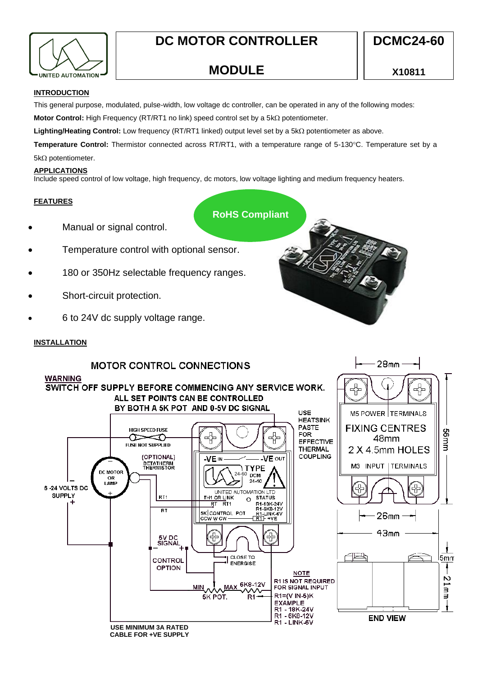

# **DC MOTOR CONTROLLER**

 $28<sub>mm</sub>$ 

# **MODULE**

### **INTRODUCTION**

This general purpose, modulated, pulse-width, low voltage dc controller, can be operated in any of the following modes:

**Motor Control:** High Frequency (RT/RT1 no link) speed control set by a 5kΩ potentiometer.

**Lighting/Heating Control:** Low frequency (RT/RT1 linked) output level set by a 5kΩ potentiometer as above.

Temperature Control: Thermistor connected across RT/RT1, with a temperature range of 5-130°C. Temperature set by a  $5k\Omega$  potentiometer.

### **APPLICATIONS**

Include speed control of low voltage, high frequency, dc motors, low voltage lighting and medium frequency heaters.

## **FEATURES**

**RoHS Compliant**

- Manual or signal control.
- Temperature control with optional sensor.
- 180 or 350Hz selectable frequency ranges.
- Short-circuit protection.
- 6 to 24V dc supply voltage range.

# **INSTALLATION**

# **MOTOR CONTROL CONNECTIONS**



**CABLE FOR +VE SUPPLY**